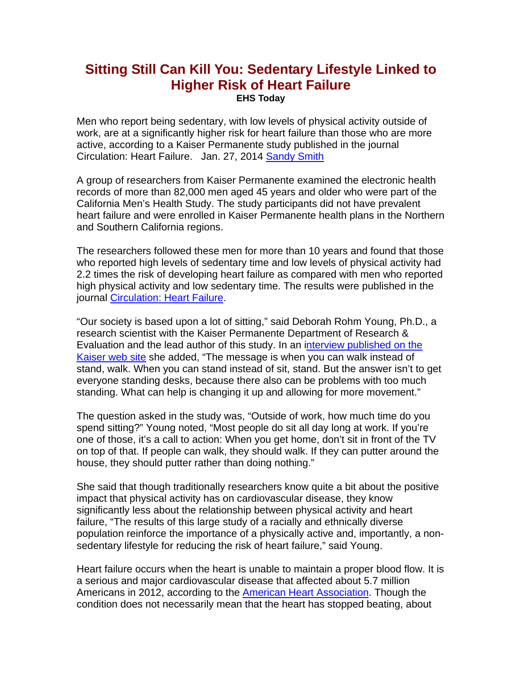## **Sitting Still Can Kill You: Sedentary Lifestyle Linked to Higher Risk of Heart Failure EHS Today**

Men who report being sedentary, with low levels of physical activity outside of work, are at a significantly higher risk for heart failure than those who are more active, according to a Kaiser Permanente study published in the journal Circulation: Heart Failure. Jan. 27, 2014 Sandy Smith

A group of researchers from Kaiser Permanente examined the electronic health records of more than 82,000 men aged 45 years and older who were part of the California Men's Health Study. The study participants did not have prevalent heart failure and were enrolled in Kaiser Permanente health plans in the Northern and Southern California regions.

The researchers followed these men for more than 10 years and found that those who reported high levels of sedentary time and low levels of physical activity had 2.2 times the risk of developing heart failure as compared with men who reported high physical activity and low sedentary time. The results were published in the journal Circulation: Heart Failure.

"Our society is based upon a lot of sitting," said Deborah Rohm Young, Ph.D., a research scientist with the Kaiser Permanente Department of Research & Evaluation and the lead author of this study. In an interview published on the Kaiser web site she added, "The message is when you can walk instead of stand, walk. When you can stand instead of sit, stand. But the answer isn't to get everyone standing desks, because there also can be problems with too much standing. What can help is changing it up and allowing for more movement."

The question asked in the study was, "Outside of work, how much time do you spend sitting?" Young noted, "Most people do sit all day long at work. If you're one of those, it's a call to action: When you get home, don't sit in front of the TV on top of that. If people can walk, they should walk. If they can putter around the house, they should putter rather than doing nothing."

She said that though traditionally researchers know quite a bit about the positive impact that physical activity has on cardiovascular disease, they know significantly less about the relationship between physical activity and heart failure, "The results of this large study of a racially and ethnically diverse population reinforce the importance of a physically active and, importantly, a nonsedentary lifestyle for reducing the risk of heart failure," said Young.

Heart failure occurs when the heart is unable to maintain a proper blood flow. It is a serious and major cardiovascular disease that affected about 5.7 million Americans in 2012, according to the American Heart Association. Though the condition does not necessarily mean that the heart has stopped beating, about